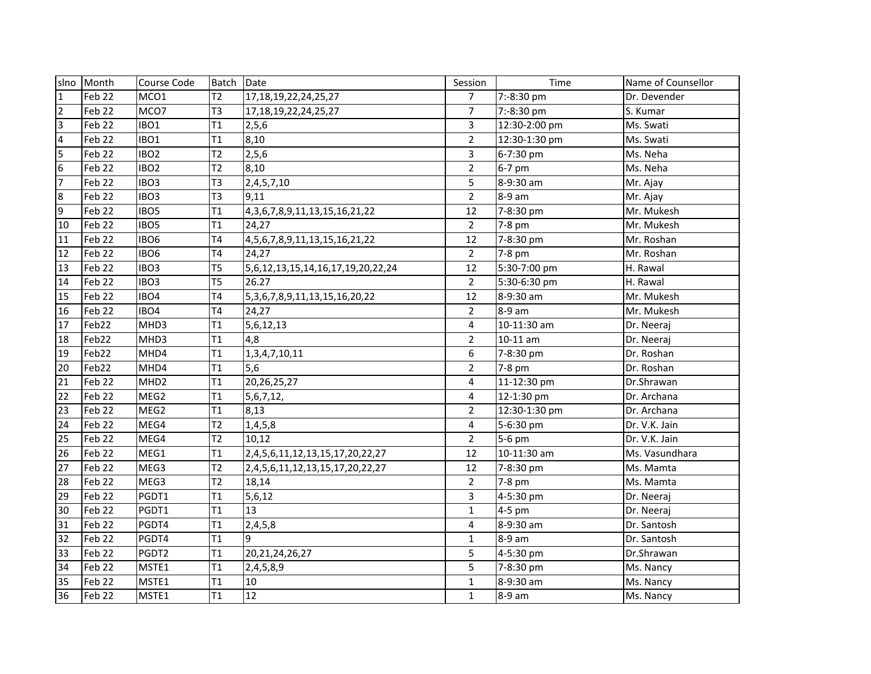|                | slno Month        | Course Code      | Batch          | Date                                       | Session        | Time          | Name of Counsellor |
|----------------|-------------------|------------------|----------------|--------------------------------------------|----------------|---------------|--------------------|
| $\mathbf{1}$   | Feb 22            | MCO1             | T2             | 17, 18, 19, 22, 24, 25, 27                 | $\overline{7}$ | 7:-8:30 pm    | Dr. Devender       |
| $\overline{2}$ | Feb 22            | MCO7             | T <sub>3</sub> | 17, 18, 19, 22, 24, 25, 27                 | $\overline{7}$ | 7:-8:30 pm    | S. Kumar           |
| $\overline{3}$ | Feb 22            | IBO1             | T1             | 2,5,6                                      | $\overline{3}$ | 12:30-2:00 pm | Ms. Swati          |
| $\overline{4}$ | Feb 22            | IBO1             | T1             | 8,10                                       | $\overline{2}$ | 12:30-1:30 pm | Ms. Swati          |
| 5              | Feb 22            | IBO <sub>2</sub> | T2             | 2, 5, 6                                    | 3              | 6-7:30 pm     | Ms. Neha           |
| $\sqrt{6}$     | Feb 22            | IBO <sub>2</sub> | T2             | 8,10                                       | $\overline{2}$ | 6-7 pm        | Ms. Neha           |
| $\overline{7}$ | Feb 22            | IBO <sub>3</sub> | T <sub>3</sub> | 2,4,5,7,10                                 | 5              | 8-9:30 am     | Mr. Ajay           |
| $8\phantom{.}$ | Feb 22            | IBO <sub>3</sub> | T <sub>3</sub> | 9.11                                       | $\overline{2}$ | 8-9 am        | Mr. Ajay           |
| $\overline{9}$ | Feb 22            | IBO <sub>5</sub> | T1             | 4, 3, 6, 7, 8, 9, 11, 13, 15, 16, 21, 22   | 12             | 7-8:30 pm     | Mr. Mukesh         |
| 10             | Feb 22            | IBO <sub>5</sub> | T1             | 24,27                                      | $\overline{2}$ | 7-8 pm        | Mr. Mukesh         |
| 11             | Feb 22            | IBO <sub>6</sub> | T <sub>4</sub> | 4, 5, 6, 7, 8, 9, 11, 13, 15, 16, 21, 22   | 12             | 7-8:30 pm     | Mr. Roshan         |
| 12             | Feb 22            | IBO <sub>6</sub> | T <sub>4</sub> | 24,27                                      | $\overline{2}$ | 7-8 pm        | Mr. Roshan         |
| 13             | Feb 22            | IBO <sub>3</sub> | T <sub>5</sub> | 5,6,12,13,15,14,16,17,19,20,22,24          | 12             | 5:30-7:00 pm  | H. Rawal           |
| 14             | Feb 22            | IBO <sub>3</sub> | T <sub>5</sub> | 26.27                                      | $\overline{2}$ | 5:30-6:30 pm  | H. Rawal           |
| 15             | Feb 22            | IBO4             | <b>T4</b>      | 5, 3, 6, 7, 8, 9, 11, 13, 15, 16, 20, 22   | 12             | 8-9:30 am     | Mr. Mukesh         |
| 16             | Feb 22            | IBO4             | T <sub>4</sub> | 24,27                                      | $\overline{2}$ | 8-9 am        | Mr. Mukesh         |
| 17             | Feb22             | MHD3             | T1             | 5,6,12,13                                  | 4              | 10-11:30 am   | Dr. Neeraj         |
| 18             | Feb22             | MHD3             | T1             | 4,8                                        | $\overline{2}$ | $10-11$ am    | Dr. Neeraj         |
| 19             | Feb <sub>22</sub> | MHD4             | T1             | 1,3,4,7,10,11                              | 6              | 7-8:30 pm     | Dr. Roshan         |
| 20             | Feb <sub>22</sub> | MHD4             | T1             | 5,6                                        | $\overline{2}$ | 7-8 pm        | Dr. Roshan         |
| 21             | Feb <sub>22</sub> | MHD <sub>2</sub> | T1             | 20,26,25,27                                | 4              | 11-12:30 pm   | Dr.Shrawan         |
| 22             | Feb 22            | MEG2             | T1             | 5,6,7,12,                                  | 4              | 12-1:30 pm    | Dr. Archana        |
| 23             | Feb <sub>22</sub> | MEG2             | T1             | 8,13                                       | $\overline{2}$ | 12:30-1:30 pm | Dr. Archana        |
| 24             | Feb <sub>22</sub> | MEG4             | T2             | 1,4,5,8                                    | 4              | 5-6:30 pm     | Dr. V.K. Jain      |
| 25             | Feb <sub>22</sub> | MEG4             | T2             | 10,12                                      | $\overline{2}$ | 5-6 pm        | Dr. V.K. Jain      |
| 26             | Feb <sub>22</sub> | MEG1             | T1             | 2, 4, 5, 6, 11, 12, 13, 15, 17, 20, 22, 27 | 12             | 10-11:30 am   | Ms. Vasundhara     |
| 27             | Feb 22            | MEG3             | T2             | 2,4,5,6,11,12,13,15,17,20,22,27            | 12             | 7-8:30 pm     | Ms. Mamta          |
| 28             | Feb <sub>22</sub> | MEG3             | T2             | 18,14                                      | $\overline{2}$ | 7-8 pm        | Ms. Mamta          |
| 29             | Feb 22            | PGDT1            | T1             | 5,6,12                                     | 3              | 4-5:30 pm     | Dr. Neeraj         |
| 30             | Feb 22            | PGDT1            | T1             | 13                                         | $\mathbf{1}$   | 4-5 pm        | Dr. Neeraj         |
| 31             | Feb 22            | PGDT4            | T1             | 2,4,5,8                                    | 4              | 8-9:30 am     | Dr. Santosh        |
| 32             | Feb 22            | PGDT4            | T1             | 9                                          | $\mathbf{1}$   | 8-9 am        | Dr. Santosh        |
| 33             | Feb 22            | PGDT2            | T1             | 20, 21, 24, 26, 27                         | 5              | 4-5:30 pm     | Dr.Shrawan         |
| 34             | Feb 22            | MSTE1            | T1             | 2,4,5,8,9                                  | 5              | 7-8:30 pm     | Ms. Nancy          |
| 35             | Feb 22            | MSTE1            | T1             | 10                                         | $\mathbf{1}$   | 8-9:30 am     | Ms. Nancy          |
| 36             | Feb <sub>22</sub> | MSTE1            | T1             | 12                                         | $\mathbf{1}$   | 8-9 am        | Ms. Nancy          |